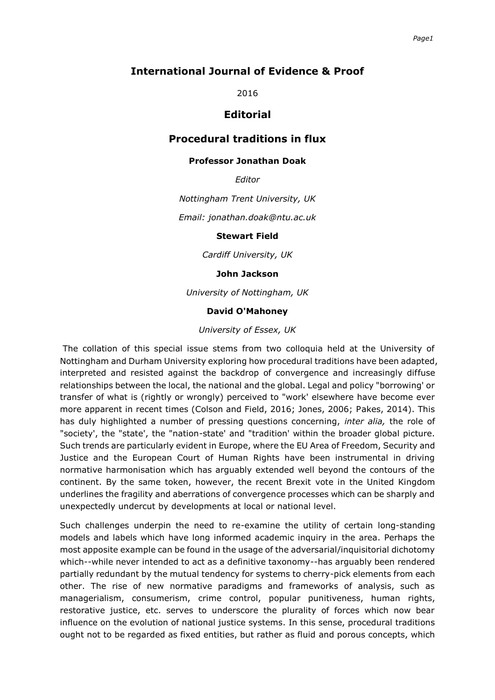## **International Journal of Evidence & Proof**

2016

## **Editorial**

# **Procedural traditions in flux**

### **Professor Jonathan Doak**

*Editor*

*Nottingham Trent University, UK*

*Email: jonathan.doak@ntu.ac.uk*

#### **Stewart Field**

*Cardiff University, UK*

### **John Jackson**

*University of Nottingham, UK*

### **David O'Mahoney**

#### *University of Essex, UK*

The collation of this special issue stems from two colloquia held at the University of Nottingham and Durham University exploring how procedural traditions have been adapted, interpreted and resisted against the backdrop of convergence and increasingly diffuse relationships between the local, the national and the global. Legal and policy "borrowing' or transfer of what is (rightly or wrongly) perceived to "work' elsewhere have become ever more apparent in recent times (Colson and Field, 2016; Jones, 2006; Pakes, 2014). This has duly highlighted a number of pressing questions concerning, *inter alia,* the role of "society', the "state', the "nation-state' and "tradition' within the broader global picture. Such trends are particularly evident in Europe, where the EU Area of Freedom, Security and Justice and the European Court of Human Rights have been instrumental in driving normative harmonisation which has arguably extended well beyond the contours of the continent. By the same token, however, the recent Brexit vote in the United Kingdom underlines the fragility and aberrations of convergence processes which can be sharply and unexpectedly undercut by developments at local or national level.

Such challenges underpin the need to re-examine the utility of certain long-standing models and labels which have long informed academic inquiry in the area. Perhaps the most apposite example can be found in the usage of the adversarial/inquisitorial dichotomy which--while never intended to act as a definitive taxonomy--has arguably been rendered partially redundant by the mutual tendency for systems to cherry-pick elements from each other. The rise of new normative paradigms and frameworks of analysis, such as managerialism, consumerism, crime control, popular punitiveness, human rights, restorative justice, etc. serves to underscore the plurality of forces which now bear influence on the evolution of national justice systems. In this sense, procedural traditions ought not to be regarded as fixed entities, but rather as fluid and porous concepts, which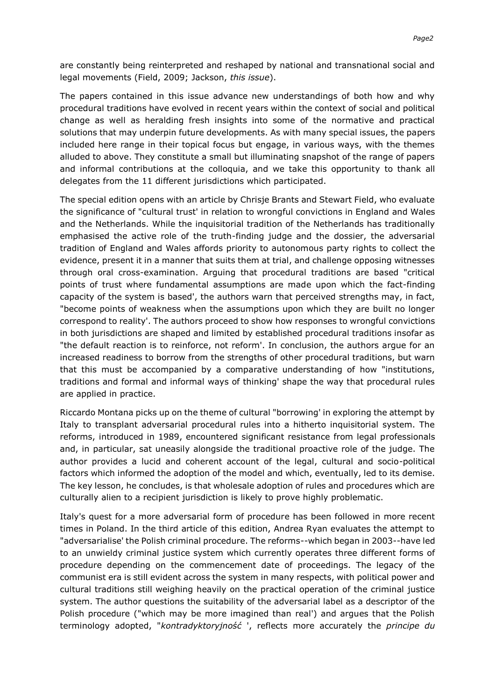are constantly being reinterpreted and reshaped by national and transnational social and legal movements (Field, 2009; Jackson, *this issue*).

The papers contained in this issue advance new understandings of both how and why procedural traditions have evolved in recent years within the context of social and political change as well as heralding fresh insights into some of the normative and practical solutions that may underpin future developments. As with many special issues, the papers included here range in their topical focus but engage, in various ways, with the themes alluded to above. They constitute a small but illuminating snapshot of the range of papers and informal contributions at the colloquia, and we take this opportunity to thank all delegates from the 11 different jurisdictions which participated.

The special edition opens with an article by Chrisje Brants and Stewart Field, who evaluate the significance of "cultural trust' in relation to wrongful convictions in England and Wales and the Netherlands. While the inquisitorial tradition of the Netherlands has traditionally emphasised the active role of the truth-finding judge and the dossier, the adversarial tradition of England and Wales affords priority to autonomous party rights to collect the evidence, present it in a manner that suits them at trial, and challenge opposing witnesses through oral cross-examination. Arguing that procedural traditions are based "critical points of trust where fundamental assumptions are made upon which the fact-finding capacity of the system is based', the authors warn that perceived strengths may, in fact, "become points of weakness when the assumptions upon which they are built no longer correspond to reality'. The authors proceed to show how responses to wrongful convictions in both jurisdictions are shaped and limited by established procedural traditions insofar as "the default reaction is to reinforce, not reform'. In conclusion, the authors argue for an increased readiness to borrow from the strengths of other procedural traditions, but warn that this must be accompanied by a comparative understanding of how "institutions, traditions and formal and informal ways of thinking' shape the way that procedural rules are applied in practice.

Riccardo Montana picks up on the theme of cultural "borrowing' in exploring the attempt by Italy to transplant adversarial procedural rules into a hitherto inquisitorial system. The reforms, introduced in 1989, encountered significant resistance from legal professionals and, in particular, sat uneasily alongside the traditional proactive role of the judge. The author provides a lucid and coherent account of the legal, cultural and socio-political factors which informed the adoption of the model and which, eventually, led to its demise. The key lesson, he concludes, is that wholesale adoption of rules and procedures which are culturally alien to a recipient jurisdiction is likely to prove highly problematic.

Italy's quest for a more adversarial form of procedure has been followed in more recent times in Poland. In the third article of this edition, Andrea Ryan evaluates the attempt to "adversarialise' the Polish criminal procedure. The reforms--which began in 2003--have led to an unwieldy criminal justice system which currently operates three different forms of procedure depending on the commencement date of proceedings. The legacy of the communist era is still evident across the system in many respects, with political power and cultural traditions still weighing heavily on the practical operation of the criminal justice system. The author questions the suitability of the adversarial label as a descriptor of the Polish procedure ("which may be more imagined than real') and argues that the Polish terminology adopted, "*kontradyktoryjność* ', reflects more accurately the *principe du*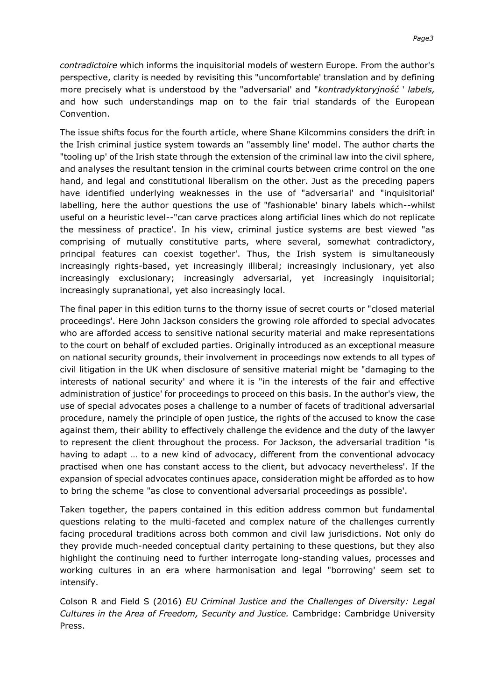*contradictoire* which informs the inquisitorial models of western Europe. From the author's perspective, clarity is needed by revisiting this "uncomfortable' translation and by defining more precisely what is understood by the "adversarial' and "*kontradyktoryjność* ' *labels,* and how such understandings map on to the fair trial standards of the European Convention.

The issue shifts focus for the fourth article, where Shane Kilcommins considers the drift in the Irish criminal justice system towards an "assembly line' model. The author charts the "tooling up' of the Irish state through the extension of the criminal law into the civil sphere, and analyses the resultant tension in the criminal courts between crime control on the one hand, and legal and constitutional liberalism on the other. Just as the preceding papers have identified underlying weaknesses in the use of "adversarial' and "inquisitorial' labelling, here the author questions the use of "fashionable' binary labels which--whilst useful on a heuristic level--"can carve practices along artificial lines which do not replicate the messiness of practice'. In his view, criminal justice systems are best viewed "as comprising of mutually constitutive parts, where several, somewhat contradictory, principal features can coexist together'. Thus, the Irish system is simultaneously increasingly rights-based, yet increasingly illiberal; increasingly inclusionary, yet also increasingly exclusionary; increasingly adversarial, yet increasingly inquisitorial; increasingly supranational, yet also increasingly local.

The final paper in this edition turns to the thorny issue of secret courts or "closed material proceedings'. Here John Jackson considers the growing role afforded to special advocates who are afforded access to sensitive national security material and make representations to the court on behalf of excluded parties. Originally introduced as an exceptional measure on national security grounds, their involvement in proceedings now extends to all types of civil litigation in the UK when disclosure of sensitive material might be "damaging to the interests of national security' and where it is "in the interests of the fair and effective administration of justice' for proceedings to proceed on this basis. In the author's view, the use of special advocates poses a challenge to a number of facets of traditional adversarial procedure, namely the principle of open justice, the rights of the accused to know the case against them, their ability to effectively challenge the evidence and the duty of the lawyer to represent the client throughout the process. For Jackson, the adversarial tradition "is having to adapt … to a new kind of advocacy, different from the conventional advocacy practised when one has constant access to the client, but advocacy nevertheless'. If the expansion of special advocates continues apace, consideration might be afforded as to how to bring the scheme "as close to conventional adversarial proceedings as possible'.

Taken together, the papers contained in this edition address common but fundamental questions relating to the multi-faceted and complex nature of the challenges currently facing procedural traditions across both common and civil law jurisdictions. Not only do they provide much-needed conceptual clarity pertaining to these questions, but they also highlight the continuing need to further interrogate long-standing values, processes and working cultures in an era where harmonisation and legal "borrowing' seem set to intensify.

Colson R and Field S (2016) *EU Criminal Justice and the Challenges of Diversity: Legal Cultures in the Area of Freedom, Security and Justice.* Cambridge: Cambridge University Press.